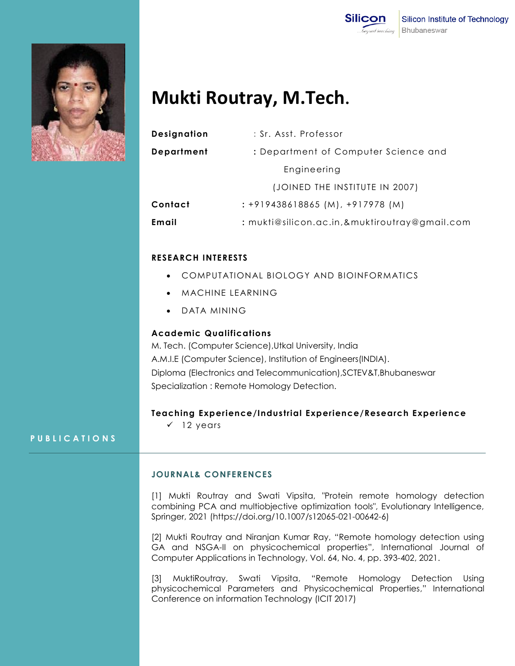



# **Mukti Routray, M.Tech.**

| <b>Designation</b> | : Sr. Asst. Professor                         |
|--------------------|-----------------------------------------------|
| Department         | : Department of Computer Science and          |
|                    | Engineering                                   |
|                    | (JOINED THE INSTITUTE IN 2007)                |
| Contact            | $: +919438618865$ (M), $+917978$ (M)          |
| Email              | : mukti@silicon.ac.in,&muktiroutray@gmail.com |
|                    |                                               |

### **RESEARCH INTERESTS**

- COMPUTATIONAL BIOLOGY AND BIOINFORMATICS
- MACHINE LEARNING
- DATA MINING

### **Academic Qualifications**

M. Tech. (Computer Science),Utkal University, India A.M.I.E (Computer Science), Institution of Engineers(INDIA). Diploma (Electronics and Telecommunication),SCTEV&T,Bhubaneswar Specialization : Remote Homology Detection.

### **Teaching Experience/Industrial Experience/Research Experience**

 $\checkmark$  12 years

### **P U B L I C A T I O N S**

## **JOURNAL& CONFERENCES**

[1] Mukti Routray and Swati Vipsita, "Protein remote homology detection combining PCA and multiobjective optimization tools", Evolutionary Intelligence, Springer, 2021 (https://doi.org/10.1007/s12065-021-00642-6)

[2] Mukti Routray and Niranjan Kumar Ray, "Remote homology detection using GA and NSGA-II on physicochemical properties", International Journal of Computer Applications in Technology, Vol. 64, No. 4, pp. 393-402, 2021.

[3] MuktiRoutray, Swati Vipsita, "Remote Homology Detection Using physicochemical Parameters and Physicochemical Properties," International Conference on information Technology (ICIT 2017)